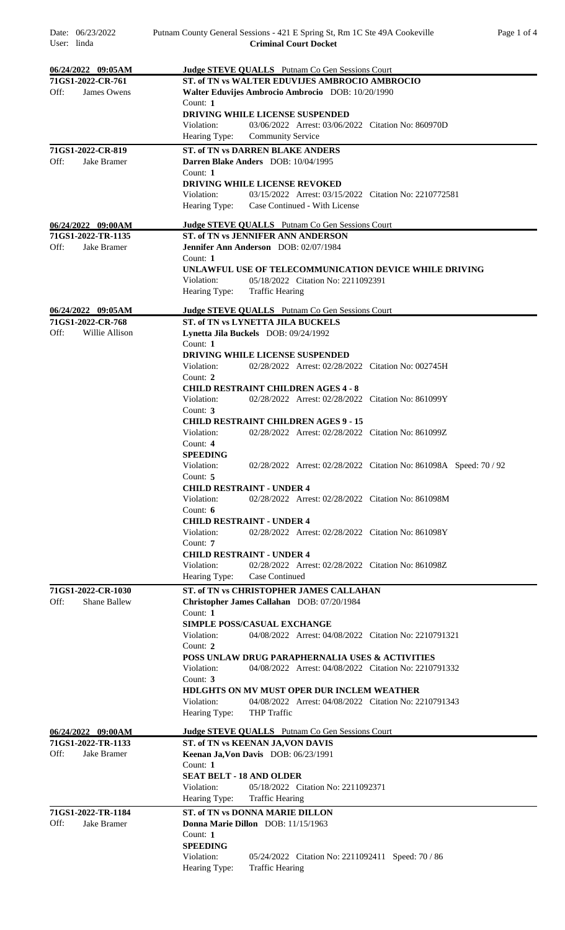| Date: 06/23/2022<br>User: linda          | Putnam County General Sessions - 421 E Spring St, Rm 1C Ste 49A Cookeville<br>Page 1 of 4<br><b>Criminal Court Docket</b> |  |  |  |  |
|------------------------------------------|---------------------------------------------------------------------------------------------------------------------------|--|--|--|--|
|                                          |                                                                                                                           |  |  |  |  |
| 06/24/2022 09:05AM                       | <b>Judge STEVE QUALLS</b> Putnam Co Gen Sessions Court                                                                    |  |  |  |  |
| 71GS1-2022-CR-761                        | ST. of TN vs WALTER EDUVLJES AMBROCIO AMBROCIO                                                                            |  |  |  |  |
| James Owens<br>Off:                      | Walter Eduvijes Ambrocio Ambrocio DOB: 10/20/1990                                                                         |  |  |  |  |
|                                          | Count: 1                                                                                                                  |  |  |  |  |
|                                          | DRIVING WHILE LICENSE SUSPENDED<br>Violation:<br>03/06/2022 Arrest: 03/06/2022 Citation No: 860970D                       |  |  |  |  |
|                                          | Hearing Type:<br><b>Community Service</b>                                                                                 |  |  |  |  |
| 71GS1-2022-CR-819                        | <b>ST. of TN vs DARREN BLAKE ANDERS</b>                                                                                   |  |  |  |  |
| Off:<br>Jake Bramer                      | Darren Blake Anders DOB: 10/04/1995                                                                                       |  |  |  |  |
|                                          | Count: 1                                                                                                                  |  |  |  |  |
|                                          | DRIVING WHILE LICENSE REVOKED                                                                                             |  |  |  |  |
|                                          | 03/15/2022 Arrest: 03/15/2022 Citation No: 2210772581<br>Violation:                                                       |  |  |  |  |
|                                          | Hearing Type:<br>Case Continued - With License                                                                            |  |  |  |  |
| $06/24/2022$ 09:00AM                     | Judge STEVE QUALLS Putnam Co Gen Sessions Court                                                                           |  |  |  |  |
| 71GS1-2022-TR-1135                       | ST. of TN vs JENNIFER ANN ANDERSON                                                                                        |  |  |  |  |
| Off:<br>Jake Bramer                      | Jennifer Ann Anderson DOB: 02/07/1984                                                                                     |  |  |  |  |
|                                          | Count: 1                                                                                                                  |  |  |  |  |
|                                          | UNLAWFUL USE OF TELECOMMUNICATION DEVICE WHILE DRIVING<br>05/18/2022 Citation No: 2211092391<br>Violation:                |  |  |  |  |
|                                          | Hearing Type:<br><b>Traffic Hearing</b>                                                                                   |  |  |  |  |
|                                          |                                                                                                                           |  |  |  |  |
| 06/24/2022 09:05AM                       | <b>Judge STEVE QUALLS</b> Putnam Co Gen Sessions Court                                                                    |  |  |  |  |
| 71GS1-2022-CR-768                        | ST. of TN vs LYNETTA JILA BUCKELS                                                                                         |  |  |  |  |
| Off:<br>Willie Allison                   | Lynetta Jila Buckels DOB: 09/24/1992<br>Count: 1                                                                          |  |  |  |  |
|                                          | DRIVING WHILE LICENSE SUSPENDED                                                                                           |  |  |  |  |
|                                          | Violation:<br>02/28/2022 Arrest: 02/28/2022 Citation No: 002745H                                                          |  |  |  |  |
|                                          | Count: 2                                                                                                                  |  |  |  |  |
|                                          | <b>CHILD RESTRAINT CHILDREN AGES 4 - 8</b>                                                                                |  |  |  |  |
|                                          | Violation:<br>02/28/2022 Arrest: 02/28/2022 Citation No: 861099Y                                                          |  |  |  |  |
|                                          | Count: 3                                                                                                                  |  |  |  |  |
|                                          | <b>CHILD RESTRAINT CHILDREN AGES 9 - 15</b><br>02/28/2022 Arrest: 02/28/2022 Citation No: 861099Z<br>Violation:           |  |  |  |  |
|                                          | Count: 4                                                                                                                  |  |  |  |  |
|                                          | <b>SPEEDING</b>                                                                                                           |  |  |  |  |
|                                          | Violation:<br>02/28/2022 Arrest: 02/28/2022 Citation No: 861098A Speed: 70 / 92                                           |  |  |  |  |
|                                          | Count: $5$                                                                                                                |  |  |  |  |
|                                          | <b>CHILD RESTRAINT - UNDER 4</b>                                                                                          |  |  |  |  |
|                                          | Violation:<br>02/28/2022 Arrest: 02/28/2022 Citation No: 861098M<br>Count: 6                                              |  |  |  |  |
|                                          | <b>CHILD RESTRAINT - UNDER 4</b>                                                                                          |  |  |  |  |
|                                          | Violation:<br>02/28/2022 Arrest: 02/28/2022 Citation No: 861098Y                                                          |  |  |  |  |
|                                          | Count: 7                                                                                                                  |  |  |  |  |
|                                          | <b>CHILD RESTRAINT - UNDER 4</b>                                                                                          |  |  |  |  |
|                                          | Violation:<br>02/28/2022 Arrest: 02/28/2022 Citation No: 861098Z                                                          |  |  |  |  |
|                                          | Hearing Type:<br>Case Continued                                                                                           |  |  |  |  |
| 71GS1-2022-CR-1030                       | ST. of TN vs CHRISTOPHER JAMES CALLAHAN                                                                                   |  |  |  |  |
| Off:<br><b>Shane Ballew</b>              | Christopher James Callahan DOB: 07/20/1984<br>Count: 1                                                                    |  |  |  |  |
|                                          | <b>SIMPLE POSS/CASUAL EXCHANGE</b>                                                                                        |  |  |  |  |
|                                          | Violation:<br>04/08/2022 Arrest: 04/08/2022 Citation No: 2210791321                                                       |  |  |  |  |
|                                          | Count: $2$                                                                                                                |  |  |  |  |
|                                          | POSS UNLAW DRUG PARAPHERNALIA USES & ACTIVITIES                                                                           |  |  |  |  |
|                                          | Violation:<br>04/08/2022 Arrest: 04/08/2022 Citation No: 2210791332                                                       |  |  |  |  |
|                                          | Count: 3<br><b>HDLGHTS ON MV MUST OPER DUR INCLEM WEATHER</b>                                                             |  |  |  |  |
|                                          | Violation:<br>04/08/2022 Arrest: 04/08/2022 Citation No: 2210791343                                                       |  |  |  |  |
|                                          | THP Traffic<br>Hearing Type:                                                                                              |  |  |  |  |
|                                          |                                                                                                                           |  |  |  |  |
| 06/24/2022 09:00AM<br>71GS1-2022-TR-1133 | <b>Judge STEVE QUALLS</b> Putnam Co Gen Sessions Court<br>ST. of TN vs KEENAN JA, VON DAVIS                               |  |  |  |  |
| Off:<br>Jake Bramer                      | Keenan Ja, Von Davis DOB: 06/23/1991                                                                                      |  |  |  |  |
|                                          | Count: 1                                                                                                                  |  |  |  |  |
|                                          | <b>SEAT BELT - 18 AND OLDER</b>                                                                                           |  |  |  |  |
|                                          | Violation:<br>05/18/2022 Citation No: 2211092371                                                                          |  |  |  |  |
|                                          | Hearing Type:<br><b>Traffic Hearing</b>                                                                                   |  |  |  |  |
| 71GS1-2022-TR-1184                       | ST. of TN vs DONNA MARIE DILLON                                                                                           |  |  |  |  |
| Off:<br><b>Jake Bramer</b>               | Donna Marie Dillon DOB: 11/15/1963                                                                                        |  |  |  |  |
|                                          | Count: 1                                                                                                                  |  |  |  |  |
|                                          | <b>SPEEDING</b>                                                                                                           |  |  |  |  |
|                                          | Violation:<br>05/24/2022 Citation No: 2211092411 Speed: 70 / 86<br>Hearing Type:<br><b>Traffic Hearing</b>                |  |  |  |  |
|                                          |                                                                                                                           |  |  |  |  |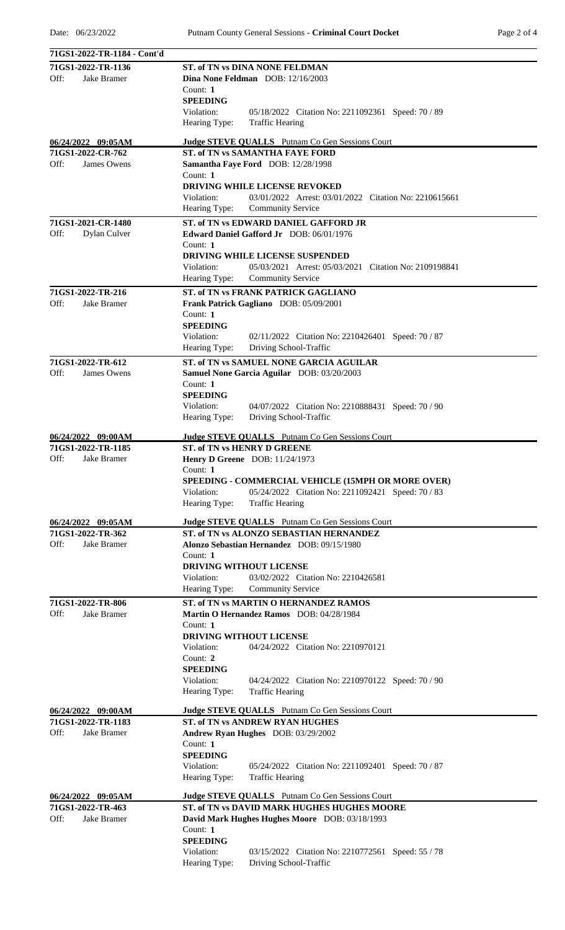| 71GS1-2022-TR-1184 - Cont'd                     |                                                                                                                  |
|-------------------------------------------------|------------------------------------------------------------------------------------------------------------------|
| 71GS1-2022-TR-1136                              | ST. of TN vs DINA NONE FELDMAN                                                                                   |
| Off:<br><b>Jake Bramer</b>                      | Dina None Feldman DOB: 12/16/2003                                                                                |
|                                                 | Count: 1                                                                                                         |
|                                                 | <b>SPEEDING</b><br>Violation:                                                                                    |
|                                                 | 05/18/2022 Citation No: 2211092361 Speed: 70 / 89<br>Hearing Type:<br><b>Traffic Hearing</b>                     |
|                                                 |                                                                                                                  |
| $06/24/2022$ 09:05AM                            | Judge STEVE QUALLS Putnam Co Gen Sessions Court                                                                  |
| 71GS1-2022-CR-762                               | <b>ST. of TN vs SAMANTHA FAYE FORD</b>                                                                           |
| Off:<br>James Owens                             | Samantha Faye Ford DOB: 12/28/1998<br>Count: 1                                                                   |
|                                                 | DRIVING WHILE LICENSE REVOKED                                                                                    |
|                                                 | Violation:<br>03/01/2022 Arrest: 03/01/2022 Citation No: 2210615661                                              |
|                                                 | <b>Community Service</b><br>Hearing Type:                                                                        |
| 71GS1-2021-CR-1480                              | <b>ST. of TN vs EDWARD DANIEL GAFFORD JR</b>                                                                     |
| Dylan Culver<br>Off:                            | Edward Daniel Gafford Jr DOB: 06/01/1976                                                                         |
|                                                 | Count: 1                                                                                                         |
|                                                 | DRIVING WHILE LICENSE SUSPENDED                                                                                  |
|                                                 | Violation:<br>05/03/2021 Arrest: 05/03/2021 Citation No: 2109198841<br>Hearing Type:<br><b>Community Service</b> |
|                                                 |                                                                                                                  |
| 71GS1-2022-TR-216<br>Off:<br>Jake Bramer        | ST. of TN vs FRANK PATRICK GAGLIANO<br>Frank Patrick Gagliano DOB: 05/09/2001                                    |
|                                                 | Count: 1                                                                                                         |
|                                                 | <b>SPEEDING</b>                                                                                                  |
|                                                 | Violation:<br>02/11/2022 Citation No: 2210426401 Speed: 70 / 87                                                  |
|                                                 | Hearing Type:<br>Driving School-Traffic                                                                          |
| 71GS1-2022-TR-612                               | ST. of TN vs SAMUEL NONE GARCIA AGUILAR                                                                          |
| Off:<br>James Owens                             | Samuel None Garcia Aguilar DOB: 03/20/2003                                                                       |
|                                                 | Count: 1                                                                                                         |
|                                                 | <b>SPEEDING</b><br>Violation:<br>04/07/2022 Citation No: 2210888431 Speed: 70 / 90                               |
|                                                 | Driving School-Traffic<br>Hearing Type:                                                                          |
|                                                 |                                                                                                                  |
| $06/24/2022$ 09:00AM                            | <b>Judge STEVE QUALLS</b> Putnam Co Gen Sessions Court                                                           |
| 71GS1-2022-TR-1185<br>Off:<br>Jake Bramer       | <b>ST. of TN vs HENRY D GREENE</b><br>Henry D Greene DOB: 11/24/1973                                             |
|                                                 | Count: 1                                                                                                         |
|                                                 | SPEEDING - COMMERCIAL VEHICLE (15MPH OR MORE OVER)                                                               |
|                                                 | Violation:<br>05/24/2022 Citation No: 2211092421 Speed: 70 / 83                                                  |
|                                                 | Hearing Type:<br><b>Traffic Hearing</b>                                                                          |
| $06/24/2022$ 09:05AM                            | Judge STEVE QUALLS Putnam Co Gen Sessions Court                                                                  |
| 71GS1-2022-TR-362                               | <b>ST. of TN vs ALONZO SEBASTIAN HERNANDEZ</b>                                                                   |
| <b>Jake Bramer</b><br>Off:                      | Alonzo Sebastian Hernandez DOB: 09/15/1980                                                                       |
|                                                 | Count: 1                                                                                                         |
|                                                 | <b>DRIVING WITHOUT LICENSE</b>                                                                                   |
|                                                 | 03/02/2022 Citation No: 2210426581<br>Violation:                                                                 |
|                                                 | Hearing Type:<br><b>Community Service</b>                                                                        |
| 71GS1-2022-TR-806<br>Off:<br><b>Jake Bramer</b> | <b>ST. of TN vs MARTIN O HERNANDEZ RAMOS</b><br>Martin O Hernandez Ramos DOB: 04/28/1984                         |
|                                                 | Count: 1                                                                                                         |
|                                                 | DRIVING WITHOUT LICENSE                                                                                          |
|                                                 | 04/24/2022 Citation No: 2210970121<br>Violation:                                                                 |
|                                                 | Count: 2                                                                                                         |
|                                                 | <b>SPEEDING</b>                                                                                                  |
|                                                 | Violation:<br>04/24/2022 Citation No: 2210970122 Speed: 70 / 90<br><b>Traffic Hearing</b><br>Hearing Type:       |
|                                                 |                                                                                                                  |
| $06/24/2022$ 09:00AM                            | Judge STEVE QUALLS Putnam Co Gen Sessions Court                                                                  |
| 71GS1-2022-TR-1183                              | <b>ST. of TN vs ANDREW RYAN HUGHES</b>                                                                           |
| Jake Bramer<br>Off:                             | Andrew Ryan Hughes DOB: 03/29/2002<br>Count: 1                                                                   |
|                                                 | <b>SPEEDING</b>                                                                                                  |
|                                                 | Violation:<br>05/24/2022 Citation No: 2211092401 Speed: 70 / 87                                                  |
|                                                 | <b>Traffic Hearing</b><br>Hearing Type:                                                                          |
|                                                 | Judge STEVE QUALLS Putnam Co Gen Sessions Court                                                                  |
| 06/24/2022 09:05AM<br>71GS1-2022-TR-463         | ST. of TN vs DAVID MARK HUGHES HUGHES MOORE                                                                      |
| Jake Bramer<br>Off:                             | David Mark Hughes Hughes Moore DOB: 03/18/1993                                                                   |
|                                                 | Count: 1                                                                                                         |
|                                                 | <b>SPEEDING</b>                                                                                                  |
|                                                 | Violation:<br>03/15/2022 Citation No: 2210772561 Speed: 55 / 78                                                  |
|                                                 | Hearing Type:<br>Driving School-Traffic                                                                          |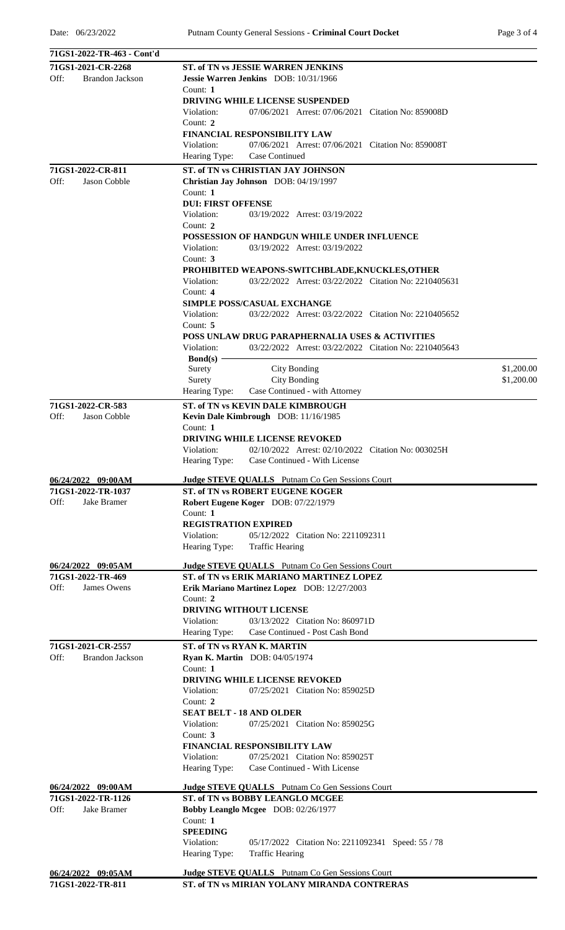| 71GS1-2022-TR-463 - Cont'd                 |                                                                                                                        |                          |  |  |
|--------------------------------------------|------------------------------------------------------------------------------------------------------------------------|--------------------------|--|--|
| 71GS1-2021-CR-2268                         | <b>ST. of TN vs JESSIE WARREN JENKINS</b>                                                                              |                          |  |  |
| Off:<br><b>Brandon Jackson</b>             | Jessie Warren Jenkins DOB: 10/31/1966                                                                                  |                          |  |  |
|                                            | Count: 1                                                                                                               |                          |  |  |
|                                            | DRIVING WHILE LICENSE SUSPENDED                                                                                        |                          |  |  |
|                                            | 07/06/2021 Arrest: 07/06/2021 Citation No: 859008D<br>Violation:<br>Count: 2                                           |                          |  |  |
|                                            | FINANCIAL RESPONSIBILITY LAW                                                                                           |                          |  |  |
|                                            | 07/06/2021 Arrest: 07/06/2021 Citation No: 859008T<br>Violation:                                                       |                          |  |  |
|                                            | Hearing Type:<br><b>Case Continued</b>                                                                                 |                          |  |  |
| 71GS1-2022-CR-811                          | ST. of TN vs CHRISTIAN JAY JOHNSON                                                                                     |                          |  |  |
| Off:<br>Jason Cobble                       | Christian Jay Johnson DOB: 04/19/1997                                                                                  |                          |  |  |
|                                            | Count: 1                                                                                                               |                          |  |  |
|                                            | <b>DUI: FIRST OFFENSE</b>                                                                                              |                          |  |  |
|                                            | Violation:<br>03/19/2022 Arrest: 03/19/2022                                                                            |                          |  |  |
|                                            | Count: 2                                                                                                               |                          |  |  |
|                                            | POSSESSION OF HANDGUN WHILE UNDER INFLUENCE                                                                            |                          |  |  |
|                                            | Violation:<br>03/19/2022 Arrest: 03/19/2022                                                                            |                          |  |  |
|                                            | Count: 3                                                                                                               |                          |  |  |
|                                            | PROHIBITED WEAPONS-SWITCHBLADE, KNUCKLES, OTHER<br>03/22/2022 Arrest: 03/22/2022 Citation No: 2210405631<br>Violation: |                          |  |  |
|                                            | Count: 4                                                                                                               |                          |  |  |
|                                            | <b>SIMPLE POSS/CASUAL EXCHANGE</b>                                                                                     |                          |  |  |
|                                            | 03/22/2022 Arrest: 03/22/2022 Citation No: 2210405652<br>Violation:                                                    |                          |  |  |
|                                            | Count: 5                                                                                                               |                          |  |  |
|                                            | POSS UNLAW DRUG PARAPHERNALIA USES & ACTIVITIES                                                                        |                          |  |  |
|                                            | 03/22/2022 Arrest: 03/22/2022 Citation No: 2210405643<br>Violation:                                                    |                          |  |  |
|                                            | Bond(s) $-$                                                                                                            |                          |  |  |
|                                            | <b>City Bonding</b><br>Surety<br><b>City Bonding</b><br>Surety                                                         | \$1,200.00<br>\$1,200.00 |  |  |
|                                            | Case Continued - with Attorney<br>Hearing Type:                                                                        |                          |  |  |
| 71GS1-2022-CR-583                          | ST. of TN vs KEVIN DALE KIMBROUGH                                                                                      |                          |  |  |
| Off:<br>Jason Cobble                       | Kevin Dale Kimbrough DOB: 11/16/1985                                                                                   |                          |  |  |
|                                            | Count: 1                                                                                                               |                          |  |  |
|                                            | <b>DRIVING WHILE LICENSE REVOKED</b>                                                                                   |                          |  |  |
|                                            | Violation:<br>02/10/2022 Arrest: 02/10/2022 Citation No: 003025H                                                       |                          |  |  |
|                                            | Hearing Type:<br>Case Continued - With License                                                                         |                          |  |  |
| 06/24/2022 09:00AM                         | Judge STEVE QUALLS Putnam Co Gen Sessions Court                                                                        |                          |  |  |
| 71GS1-2022-TR-1037                         | <b>ST. of TN vs ROBERT EUGENE KOGER</b>                                                                                |                          |  |  |
| Off:<br>Jake Bramer                        | Robert Eugene Koger DOB: 07/22/1979                                                                                    |                          |  |  |
|                                            | Count: 1                                                                                                               |                          |  |  |
|                                            | <b>REGISTRATION EXPIRED</b>                                                                                            |                          |  |  |
|                                            | 05/12/2022 Citation No: 2211092311<br>Violation:                                                                       |                          |  |  |
|                                            | <b>Traffic Hearing</b><br>Hearing Type:                                                                                |                          |  |  |
| 06/24/2022 09:05AM                         | Judge STEVE QUALLS Putnam Co Gen Sessions Court                                                                        |                          |  |  |
| 71GS1-2022-TR-469                          | ST. of TN vs ERIK MARIANO MARTINEZ LOPEZ                                                                               |                          |  |  |
| Off:<br>James Owens                        | Erik Mariano Martinez Lopez DOB: 12/27/2003                                                                            |                          |  |  |
|                                            | Count: 2                                                                                                               |                          |  |  |
|                                            | <b>DRIVING WITHOUT LICENSE</b><br>03/13/2022 Citation No: 860971D<br>Violation:                                        |                          |  |  |
|                                            | Hearing Type:<br>Case Continued - Post Cash Bond                                                                       |                          |  |  |
| 71GS1-2021-CR-2557                         | ST. of TN vs RYAN K. MARTIN                                                                                            |                          |  |  |
| Off:<br><b>Brandon Jackson</b>             | Ryan K. Martin DOB: 04/05/1974                                                                                         |                          |  |  |
|                                            | Count: 1                                                                                                               |                          |  |  |
|                                            | DRIVING WHILE LICENSE REVOKED                                                                                          |                          |  |  |
|                                            | Violation:<br>07/25/2021 Citation No: 859025D                                                                          |                          |  |  |
|                                            | Count: $2$                                                                                                             |                          |  |  |
|                                            | <b>SEAT BELT - 18 AND OLDER</b>                                                                                        |                          |  |  |
|                                            | 07/25/2021 Citation No: 859025G<br>Violation:<br>Count: 3                                                              |                          |  |  |
|                                            | FINANCIAL RESPONSIBILITY LAW                                                                                           |                          |  |  |
|                                            | Violation:<br>07/25/2021 Citation No: 859025T                                                                          |                          |  |  |
|                                            | Case Continued - With License<br>Hearing Type:                                                                         |                          |  |  |
|                                            |                                                                                                                        |                          |  |  |
| $06/24/2022$ 09:00AM<br>71GS1-2022-TR-1126 | Judge STEVE QUALLS Putnam Co Gen Sessions Court<br>ST. of TN vs BOBBY LEANGLO MCGEE                                    |                          |  |  |
| Off:<br>Jake Bramer                        | Bobby Leanglo Mcgee DOB: 02/26/1977                                                                                    |                          |  |  |
|                                            | Count: 1                                                                                                               |                          |  |  |
|                                            | <b>SPEEDING</b>                                                                                                        |                          |  |  |
|                                            | Violation:<br>05/17/2022 Citation No: 2211092341 Speed: 55 / 78                                                        |                          |  |  |
|                                            | <b>Traffic Hearing</b><br>Hearing Type:                                                                                |                          |  |  |
| 06/24/2022 09:05AM                         | <b>Judge STEVE QUALLS</b> Putnam Co Gen Sessions Court                                                                 |                          |  |  |
| 71GS1-2022-TR-811                          | ST. of TN vs MIRIAN YOLANY MIRANDA CONTRERAS                                                                           |                          |  |  |
|                                            |                                                                                                                        |                          |  |  |